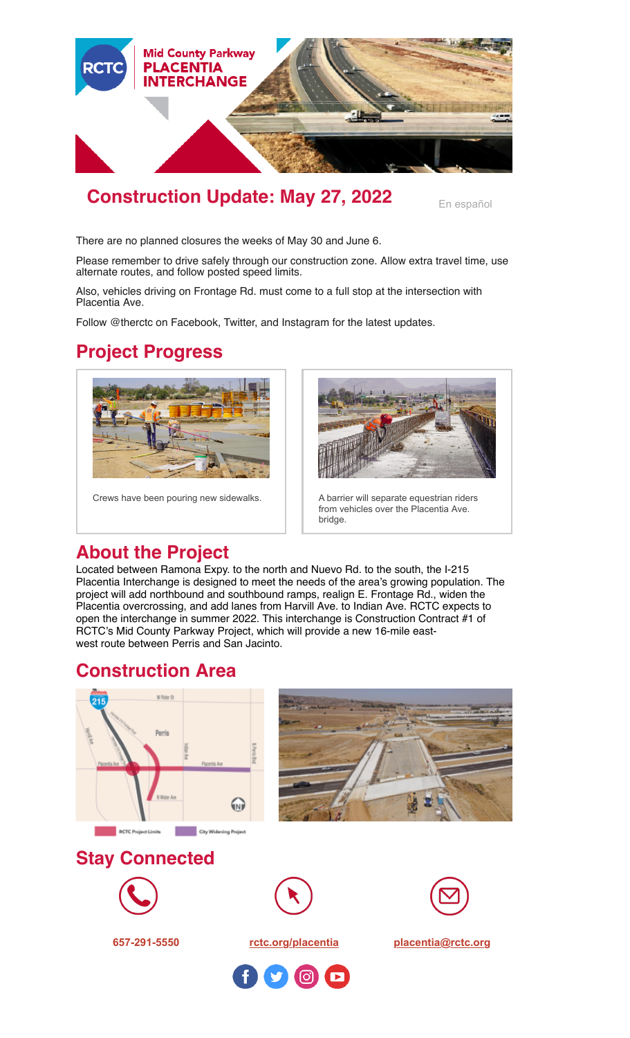

# **Construction Update: May 27, 2022** [En español](https://conta.cc/3wTKM6h)

There are no planned closures the weeks of May 30 and June 6.

Please remember to drive safely through our construction zone. Allow extra travel time, use alternate routes, and follow posted speed limits.

Also, vehicles driving on Frontage Rd. must come to a full stop at the intersection with Placentia Ave.

Follow @therctc on Facebook, Twitter, and Instagram for the latest updates.

# **Project Progress**





Crews have been pouring new sidewalks. <br>A barrier will separate equestrian riders from vehicles over the Placentia Ave. bridge.

## **About the Project**

Located between Ramona Expy. to the north and Nuevo Rd. to the south, the I-215 Placentia Interchange is designed to meet the needs of the area's growing population. The project will add northbound and southbound ramps, realign E. Frontage Rd., widen the Placentia overcrossing, and add lanes from Harvill Ave. to Indian Ave. RCTC expects to open the interchange in summer 2022. This interchange is Construction Contract #1 of RCTC's Mid County Parkway Project, which will provide a new 16-mile eastwest route between Perris and San Jacinto.

### **Construction Area**





### **Stay Connected**







**657-291-5550 [rctc.org/placentia](http://www.rctc.org/placentia) [placentia@rctc.org](mailto:placentia@rctc.org)**